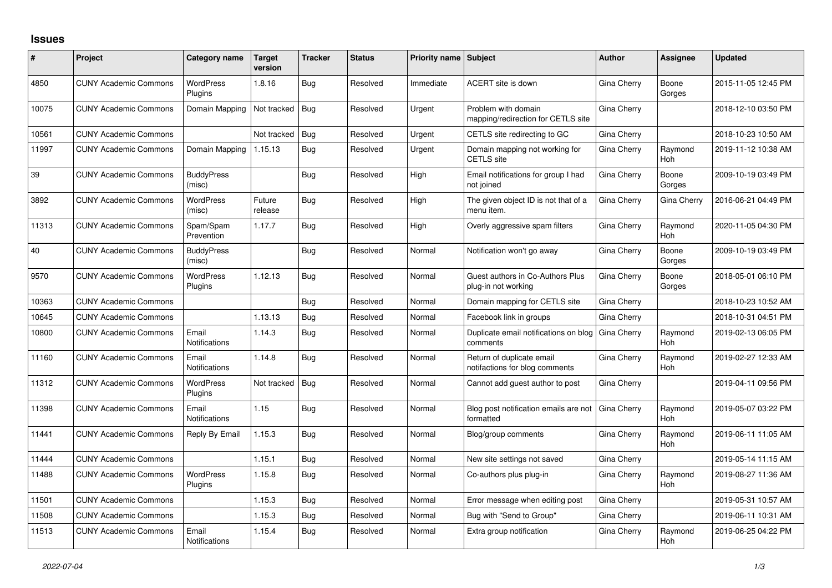## **Issues**

| #     | Project                      | Category name                      | <b>Target</b><br>version | <b>Tracker</b> | <b>Status</b> | <b>Priority name Subject</b> |                                                             | <b>Author</b> | Assignee              | <b>Updated</b>      |
|-------|------------------------------|------------------------------------|--------------------------|----------------|---------------|------------------------------|-------------------------------------------------------------|---------------|-----------------------|---------------------|
| 4850  | <b>CUNY Academic Commons</b> | <b>WordPress</b><br>Plugins        | 1.8.16                   | <b>Bug</b>     | Resolved      | Immediate                    | ACERT site is down                                          | Gina Cherry   | Boone<br>Gorges       | 2015-11-05 12:45 PM |
| 10075 | <b>CUNY Academic Commons</b> | Domain Mapping                     | Not tracked              | <b>Bug</b>     | Resolved      | Urgent                       | Problem with domain<br>mapping/redirection for CETLS site   | Gina Cherry   |                       | 2018-12-10 03:50 PM |
| 10561 | <b>CUNY Academic Commons</b> |                                    | Not tracked              | Bug            | Resolved      | Urgent                       | CETLS site redirecting to GC                                | Gina Cherry   |                       | 2018-10-23 10:50 AM |
| 11997 | <b>CUNY Academic Commons</b> | Domain Mapping                     | 1.15.13                  | Bug            | Resolved      | Urgent                       | Domain mapping not working for<br><b>CETLS</b> site         | Gina Cherry   | Raymond<br><b>Hoh</b> | 2019-11-12 10:38 AM |
| 39    | <b>CUNY Academic Commons</b> | <b>BuddyPress</b><br>(misc)        |                          | Bug            | Resolved      | High                         | Email notifications for group I had<br>not joined           | Gina Cherry   | Boone<br>Gorges       | 2009-10-19 03:49 PM |
| 3892  | <b>CUNY Academic Commons</b> | <b>WordPress</b><br>(misc)         | Future<br>release        | <b>Bug</b>     | Resolved      | High                         | The given object ID is not that of a<br>menu item.          | Gina Cherry   | Gina Cherry           | 2016-06-21 04:49 PM |
| 11313 | <b>CUNY Academic Commons</b> | Spam/Spam<br>Prevention            | 1.17.7                   | <b>Bug</b>     | Resolved      | High                         | Overly aggressive spam filters                              | Gina Cherry   | Raymond<br>Hoh        | 2020-11-05 04:30 PM |
| 40    | <b>CUNY Academic Commons</b> | <b>BuddyPress</b><br>(misc)        |                          | <b>Bug</b>     | Resolved      | Normal                       | Notification won't go away                                  | Gina Cherry   | Boone<br>Gorges       | 2009-10-19 03:49 PM |
| 9570  | <b>CUNY Academic Commons</b> | <b>WordPress</b><br>Plugins        | 1.12.13                  | <b>Bug</b>     | Resolved      | Normal                       | Guest authors in Co-Authors Plus<br>plug-in not working     | Gina Cherry   | Boone<br>Gorges       | 2018-05-01 06:10 PM |
| 10363 | <b>CUNY Academic Commons</b> |                                    |                          | <b>Bug</b>     | Resolved      | Normal                       | Domain mapping for CETLS site                               | Gina Cherry   |                       | 2018-10-23 10:52 AM |
| 10645 | <b>CUNY Academic Commons</b> |                                    | 1.13.13                  | Bug            | Resolved      | Normal                       | Facebook link in groups                                     | Gina Cherry   |                       | 2018-10-31 04:51 PM |
| 10800 | <b>CUNY Academic Commons</b> | Email<br>Notifications             | 1.14.3                   | <b>Bug</b>     | Resolved      | Normal                       | Duplicate email notifications on blog<br>comments           | Gina Cherry   | Raymond<br><b>Hoh</b> | 2019-02-13 06:05 PM |
| 11160 | <b>CUNY Academic Commons</b> | Email<br>Notifications             | 1.14.8                   | Bug            | Resolved      | Normal                       | Return of duplicate email<br>notifactions for blog comments | Gina Cherry   | Raymond<br><b>Hoh</b> | 2019-02-27 12:33 AM |
| 11312 | <b>CUNY Academic Commons</b> | <b>WordPress</b><br>Plugins        | Not tracked              | <b>Bug</b>     | Resolved      | Normal                       | Cannot add guest author to post                             | Gina Cherry   |                       | 2019-04-11 09:56 PM |
| 11398 | <b>CUNY Academic Commons</b> | Email<br><b>Notifications</b>      | 1.15                     | <b>Bug</b>     | Resolved      | Normal                       | Blog post notification emails are not<br>formatted          | Gina Cherry   | Raymond<br><b>Hoh</b> | 2019-05-07 03:22 PM |
| 11441 | <b>CUNY Academic Commons</b> | Reply By Email                     | 1.15.3                   | Bug            | Resolved      | Normal                       | Blog/group comments                                         | Gina Cherry   | Raymond<br><b>Hoh</b> | 2019-06-11 11:05 AM |
| 11444 | <b>CUNY Academic Commons</b> |                                    | 1.15.1                   | <b>Bug</b>     | Resolved      | Normal                       | New site settings not saved                                 | Gina Cherry   |                       | 2019-05-14 11:15 AM |
| 11488 | <b>CUNY Academic Commons</b> | <b>WordPress</b><br><b>Plugins</b> | 1.15.8                   | Bug            | Resolved      | Normal                       | Co-authors plus plug-in                                     | Gina Cherry   | Raymond<br>Hoh        | 2019-08-27 11:36 AM |
| 11501 | <b>CUNY Academic Commons</b> |                                    | 1.15.3                   | <b>Bug</b>     | Resolved      | Normal                       | Error message when editing post                             | Gina Cherry   |                       | 2019-05-31 10:57 AM |
| 11508 | <b>CUNY Academic Commons</b> |                                    | 1.15.3                   | <b>Bug</b>     | Resolved      | Normal                       | Bug with "Send to Group"                                    | Gina Cherry   |                       | 2019-06-11 10:31 AM |
| 11513 | <b>CUNY Academic Commons</b> | Email<br>Notifications             | 1.15.4                   | Bug            | Resolved      | Normal                       | Extra group notification                                    | Gina Cherry   | Raymond<br>Hoh        | 2019-06-25 04:22 PM |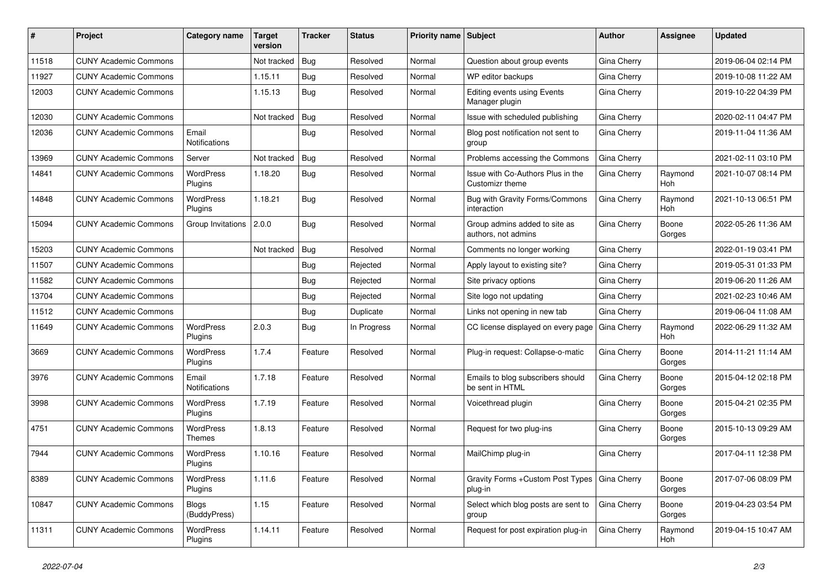| #     | Project                      | Category name                | <b>Target</b><br>version | <b>Tracker</b> | <b>Status</b> | <b>Priority name Subject</b> |                                                            | Author      | Assignee              | <b>Updated</b>      |
|-------|------------------------------|------------------------------|--------------------------|----------------|---------------|------------------------------|------------------------------------------------------------|-------------|-----------------------|---------------------|
| 11518 | <b>CUNY Academic Commons</b> |                              | Not tracked              | <b>Bug</b>     | Resolved      | Normal                       | Question about group events                                | Gina Cherry |                       | 2019-06-04 02:14 PM |
| 11927 | <b>CUNY Academic Commons</b> |                              | 1.15.11                  | Bug            | Resolved      | Normal                       | WP editor backups                                          | Gina Cherry |                       | 2019-10-08 11:22 AM |
| 12003 | <b>CUNY Academic Commons</b> |                              | 1.15.13                  | Bug            | Resolved      | Normal                       | <b>Editing events using Events</b><br>Manager plugin       | Gina Cherry |                       | 2019-10-22 04:39 PM |
| 12030 | <b>CUNY Academic Commons</b> |                              | Not tracked              | Bug            | Resolved      | Normal                       | Issue with scheduled publishing                            | Gina Cherry |                       | 2020-02-11 04:47 PM |
| 12036 | <b>CUNY Academic Commons</b> | Email<br>Notifications       |                          | Bug            | Resolved      | Normal                       | Blog post notification not sent to<br>group                | Gina Cherry |                       | 2019-11-04 11:36 AM |
| 13969 | <b>CUNY Academic Commons</b> | Server                       | Not tracked              | Bug            | Resolved      | Normal                       | Problems accessing the Commons                             | Gina Cherry |                       | 2021-02-11 03:10 PM |
| 14841 | <b>CUNY Academic Commons</b> | <b>WordPress</b><br>Plugins  | 1.18.20                  | Bug            | Resolved      | Normal                       | Issue with Co-Authors Plus in the<br>Customizr theme       | Gina Cherry | Raymond<br><b>Hoh</b> | 2021-10-07 08:14 PM |
| 14848 | <b>CUNY Academic Commons</b> | WordPress<br>Plugins         | 1.18.21                  | Bug            | Resolved      | Normal                       | Bug with Gravity Forms/Commons<br>interaction              | Gina Cherry | Raymond<br><b>Hoh</b> | 2021-10-13 06:51 PM |
| 15094 | <b>CUNY Academic Commons</b> | Group Invitations            | 2.0.0                    | Bug            | Resolved      | Normal                       | Group admins added to site as<br>authors, not admins       | Gina Cherry | Boone<br>Gorges       | 2022-05-26 11:36 AM |
| 15203 | <b>CUNY Academic Commons</b> |                              | Not tracked              | Bug            | Resolved      | Normal                       | Comments no longer working                                 | Gina Cherry |                       | 2022-01-19 03:41 PM |
| 11507 | <b>CUNY Academic Commons</b> |                              |                          | <b>Bug</b>     | Rejected      | Normal                       | Apply layout to existing site?                             | Gina Cherry |                       | 2019-05-31 01:33 PM |
| 11582 | <b>CUNY Academic Commons</b> |                              |                          | Bug            | Rejected      | Normal                       | Site privacy options                                       | Gina Cherry |                       | 2019-06-20 11:26 AM |
| 13704 | <b>CUNY Academic Commons</b> |                              |                          | Bug            | Rejected      | Normal                       | Site logo not updating                                     | Gina Cherry |                       | 2021-02-23 10:46 AM |
| 11512 | <b>CUNY Academic Commons</b> |                              |                          | Bug            | Duplicate     | Normal                       | Links not opening in new tab                               | Gina Cherry |                       | 2019-06-04 11:08 AM |
| 11649 | <b>CUNY Academic Commons</b> | WordPress<br>Plugins         | 2.0.3                    | Bug            | In Progress   | Normal                       | CC license displayed on every page                         | Gina Cherry | Raymond<br>Hoh        | 2022-06-29 11:32 AM |
| 3669  | <b>CUNY Academic Commons</b> | WordPress<br>Plugins         | 1.7.4                    | Feature        | Resolved      | Normal                       | Plug-in request: Collapse-o-matic                          | Gina Cherry | Boone<br>Gorges       | 2014-11-21 11:14 AM |
| 3976  | <b>CUNY Academic Commons</b> | Email<br>Notifications       | 1.7.18                   | Feature        | Resolved      | Normal                       | Emails to blog subscribers should<br>be sent in HTML       | Gina Cherry | Boone<br>Gorges       | 2015-04-12 02:18 PM |
| 3998  | <b>CUNY Academic Commons</b> | <b>WordPress</b><br>Plugins  | 1.7.19                   | Feature        | Resolved      | Normal                       | Voicethread plugin                                         | Gina Cherry | Boone<br>Gorges       | 2015-04-21 02:35 PM |
| 4751  | <b>CUNY Academic Commons</b> | <b>WordPress</b><br>Themes   | 1.8.13                   | Feature        | Resolved      | Normal                       | Request for two plug-ins                                   | Gina Cherry | Boone<br>Gorges       | 2015-10-13 09:29 AM |
| 7944  | <b>CUNY Academic Commons</b> | <b>WordPress</b><br>Plugins  | 1.10.16                  | Feature        | Resolved      | Normal                       | MailChimp plug-in                                          | Gina Cherry |                       | 2017-04-11 12:38 PM |
| 8389  | <b>CUNY Academic Commons</b> | WordPress<br>Plugins         | 1.11.6                   | Feature        | Resolved      | Normal                       | Gravity Forms + Custom Post Types   Gina Cherry<br>plug-in |             | Boone<br>Gorges       | 2017-07-06 08:09 PM |
| 10847 | <b>CUNY Academic Commons</b> | <b>Blogs</b><br>(BuddyPress) | 1.15                     | Feature        | Resolved      | Normal                       | Select which blog posts are sent to<br>group               | Gina Cherry | Boone<br>Gorges       | 2019-04-23 03:54 PM |
| 11311 | <b>CUNY Academic Commons</b> | WordPress<br>Plugins         | 1.14.11                  | Feature        | Resolved      | Normal                       | Request for post expiration plug-in                        | Gina Cherry | Raymond<br>Hoh        | 2019-04-15 10:47 AM |